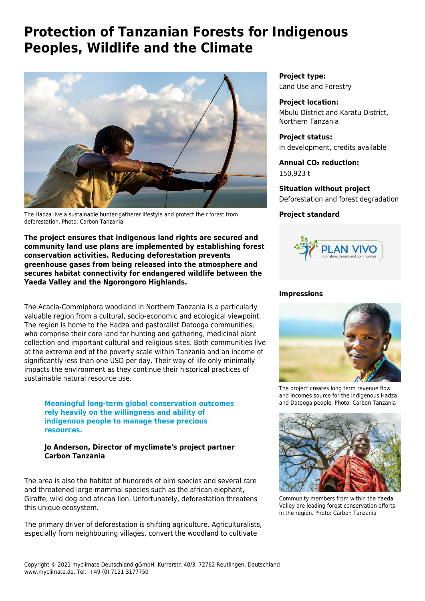# **Protection of Tanzanian Forests for Indigenous Peoples, Wildlife and the Climate**



The Hadza live a sustainable hunter-gatherer lifestyle and protect their forest from deforestation. Photo: Carbon Tanzania

**The project ensures that indigenous land rights are secured and community land use plans are implemented by establishing forest conservation activities. Reducing deforestation prevents greenhouse gases from being released into the atmosphere and secures habitat connectivity for endangered wildlife between the Yaeda Valley and the Ngorongoro Highlands.**

The Acacia-Commiphora woodland in Northern Tanzania is a particularly valuable region from a cultural, socio-economic and ecological viewpoint. The region is home to the Hadza and pastoralist Datooga communities, who comprise their core land for hunting and gathering, medicinal plant collection and important cultural and religious sites. Both communities live at the extreme end of the poverty scale within Tanzania and an income of significantly less than one USD per day. Their way of life only minimally impacts the environment as they continue their historical practices of sustainable natural resource use.

**Meaningful long-term global conservation outcomes rely heavily on the willingness and ability of indigenous people to manage these precious resources.**

## **Jo Anderson, Director of myclimate's project partner Carbon Tanzania**

The area is also the habitat of hundreds of bird species and several rare and threatened large mammal species such as the african elephant, Giraffe, wild dog and african lion. Unfortunately, deforestation threatens this unique ecosystem.

The primary driver of deforestation is shifting agriculture. Agriculturalists, especially from neighbouring villages, convert the woodland to cultivate

**Project type:** Land Use and Forestry

**Project location:** Mbulu District and Karatu District, Northern Tanzania

**Project status:** In development, credits available

**Annual CO₂ reduction:** 150,923 t

**Situation without project** Deforestation and forest degradation

# **Project standard**



#### **Impressions**



The project creates long term revenue flow and incomes source for the indigenous Hadza and Datooga people. Photo: Carbon Tanzania



Community members from within the Yaeda Valley are leading forest conservation efforts in the region. Photo: Carbon Tanzania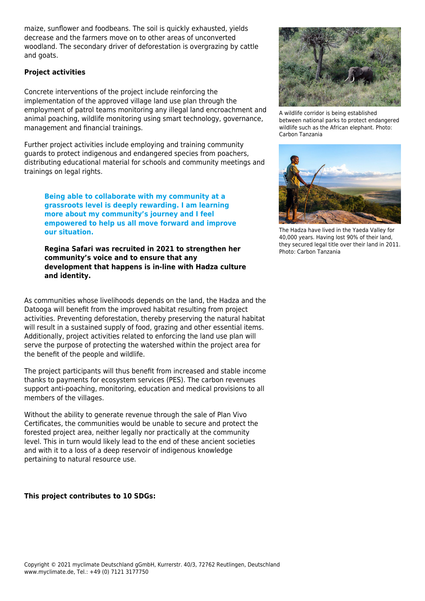maize, sunflower and foodbeans. The soil is quickly exhausted, yields decrease and the farmers move on to other areas of unconverted woodland. The secondary driver of deforestation is overgrazing by cattle and goats.

## **Project activities**

Concrete interventions of the project include reinforcing the implementation of the approved village land use plan through the employment of patrol teams monitoring any illegal land encroachment and animal poaching, wildlife monitoring using smart technology, governance, management and financial trainings.

Further project activities include employing and training community guards to protect indigenous and endangered species from poachers, distributing educational material for schools and community meetings and trainings on legal rights.

**Being able to collaborate with my community at a grassroots level is deeply rewarding. I am learning more about my community's journey and I feel empowered to help us all move forward and improve our situation.**

**Regina Safari was recruited in 2021 to strengthen her community's voice and to ensure that any development that happens is in-line with Hadza culture and identity.** 

As communities whose livelihoods depends on the land, the Hadza and the Datooga will benefit from the improved habitat resulting from project activities. Preventing deforestation, thereby preserving the natural habitat will result in a sustained supply of food, grazing and other essential items. Additionally, project activities related to enforcing the land use plan will serve the purpose of protecting the watershed within the project area for the benefit of the people and wildlife.

The project participants will thus benefit from increased and stable income thanks to payments for ecosystem services (PES). The carbon revenues support anti-poaching, monitoring, education and medical provisions to all members of the villages.

Without the ability to generate revenue through the sale of Plan Vivo Certificates, the communities would be unable to secure and protect the forested project area, neither legally nor practically at the community level. This in turn would likely lead to the end of these ancient societies and with it to a loss of a deep reservoir of indigenous knowledge pertaining to natural resource use.

**This project contributes to 10 SDGs:**



A wildlife corridor is being established between national parks to protect endangered wildlife such as the African elephant. Photo: Carbon Tanzania



The Hadza have lived in the Yaeda Valley for 40,000 years. Having lost 90% of their land, they secured legal title over their land in 2011. Photo: Carbon Tanzania